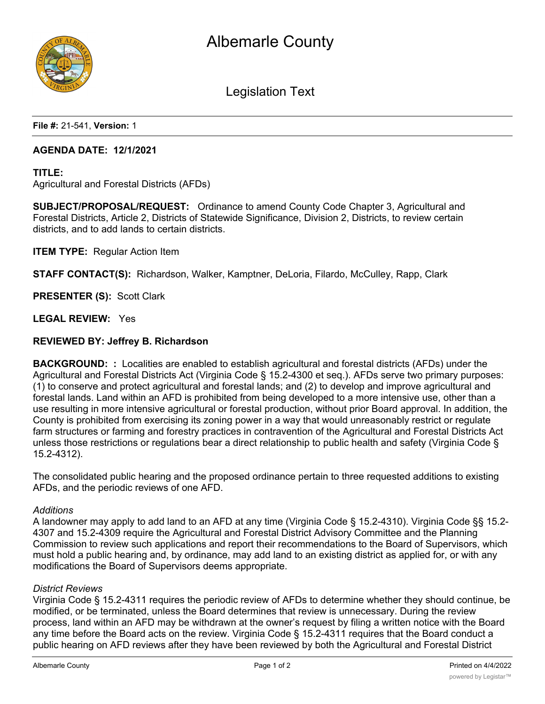

Legislation Text

**File #:** 21-541, **Version:** 1

#### **AGENDA DATE: 12/1/2021**

#### **TITLE:**

Agricultural and Forestal Districts (AFDs)

**SUBJECT/PROPOSAL/REQUEST:** Ordinance to amend County Code Chapter 3, Agricultural and Forestal Districts, Article 2, Districts of Statewide Significance, Division 2, Districts, to review certain districts, and to add lands to certain districts.

**ITEM TYPE:** Regular Action Item

**STAFF CONTACT(S):** Richardson, Walker, Kamptner, DeLoria, Filardo, McCulley, Rapp, Clark

**PRESENTER (S):** Scott Clark

**LEGAL REVIEW:** Yes

#### **REVIEWED BY: Jeffrey B. Richardson**

**BACKGROUND: :** Localities are enabled to establish agricultural and forestal districts (AFDs) under the Agricultural and Forestal Districts Act (Virginia Code § 15.2-4300 et seq.). AFDs serve two primary purposes: (1) to conserve and protect agricultural and forestal lands; and (2) to develop and improve agricultural and forestal lands. Land within an AFD is prohibited from being developed to a more intensive use, other than a use resulting in more intensive agricultural or forestal production, without prior Board approval. In addition, the County is prohibited from exercising its zoning power in a way that would unreasonably restrict or regulate farm structures or farming and forestry practices in contravention of the Agricultural and Forestal Districts Act unless those restrictions or regulations bear a direct relationship to public health and safety (Virginia Code § 15.2-4312).

The consolidated public hearing and the proposed ordinance pertain to three requested additions to existing AFDs, and the periodic reviews of one AFD.

#### *Additions*

A landowner may apply to add land to an AFD at any time (Virginia Code § 15.2-4310). Virginia Code §§ 15.2- 4307 and 15.2-4309 require the Agricultural and Forestal District Advisory Committee and the Planning Commission to review such applications and report their recommendations to the Board of Supervisors, which must hold a public hearing and, by ordinance, may add land to an existing district as applied for, or with any modifications the Board of Supervisors deems appropriate.

#### *District Reviews*

Virginia Code § 15.2-4311 requires the periodic review of AFDs to determine whether they should continue, be modified, or be terminated, unless the Board determines that review is unnecessary. During the review process, land within an AFD may be withdrawn at the owner's request by filing a written notice with the Board any time before the Board acts on the review. Virginia Code § 15.2-4311 requires that the Board conduct a public hearing on AFD reviews after they have been reviewed by both the Agricultural and Forestal District